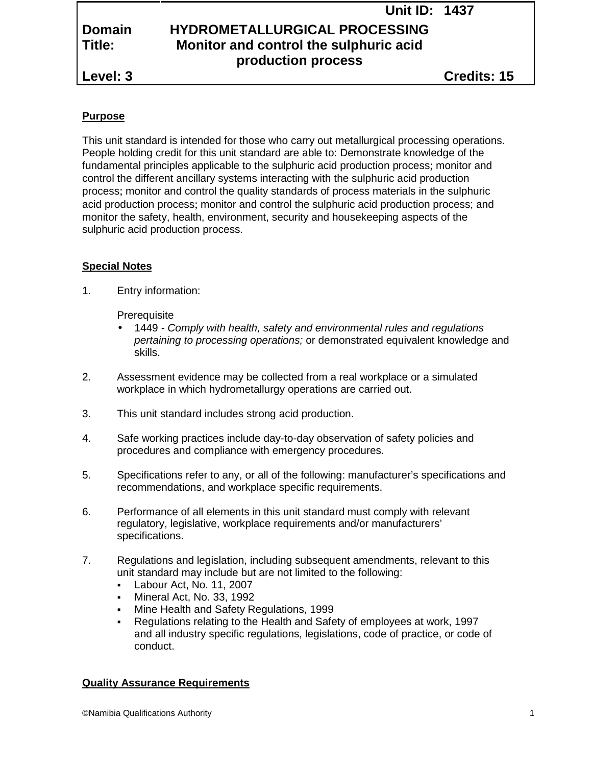|               | <b>Unit ID: 1437</b>                   |  |
|---------------|----------------------------------------|--|
| <b>Domain</b> | <b>HYDROMETALLURGICAL PROCESSING</b>   |  |
| Title:        | Monitor and control the sulphuric acid |  |
|               | production process                     |  |
| Level: 3      | <b>Credits: 15</b>                     |  |

# **Purpose**

This unit standard is intended for those who carry out metallurgical processing operations. People holding credit for this unit standard are able to: Demonstrate knowledge of the fundamental principles applicable to the sulphuric acid production process; monitor and control the different ancillary systems interacting with the sulphuric acid production process; monitor and control the quality standards of process materials in the sulphuric acid production process; monitor and control the sulphuric acid production process; and monitor the safety, health, environment, security and housekeeping aspects of the sulphuric acid production process.

# **Special Notes**

1. Entry information:

**Prerequisite** 

- 1449 *- Comply with health, safety and environmental rules and regulations pertaining to processing operations;* or demonstrated equivalent knowledge and skills.
- 2. Assessment evidence may be collected from a real workplace or a simulated workplace in which hydrometallurgy operations are carried out.
- 3. This unit standard includes strong acid production.
- 4. Safe working practices include day-to-day observation of safety policies and procedures and compliance with emergency procedures.
- 5. Specifications refer to any, or all of the following: manufacturer's specifications and recommendations, and workplace specific requirements.
- 6. Performance of all elements in this unit standard must comply with relevant regulatory, legislative, workplace requirements and/or manufacturers' specifications.
- 7. Regulations and legislation, including subsequent amendments, relevant to this unit standard may include but are not limited to the following:
	- Labour Act, No. 11, 2007
	- Mineral Act, No. 33, 1992
	- Mine Health and Safety Regulations, 1999
	- Regulations relating to the Health and Safety of employees at work, 1997 and all industry specific regulations, legislations, code of practice, or code of conduct.

## **Quality Assurance Requirements**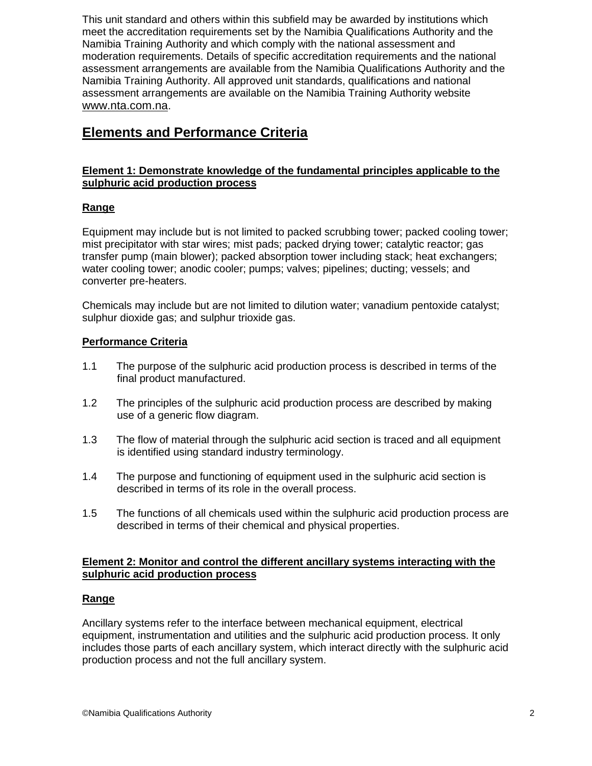This unit standard and others within this subfield may be awarded by institutions which meet the accreditation requirements set by the Namibia Qualifications Authority and the Namibia Training Authority and which comply with the national assessment and moderation requirements. Details of specific accreditation requirements and the national assessment arrangements are available from the Namibia Qualifications Authority and the Namibia Training Authority. All approved unit standards, qualifications and national assessment arrangements are available on the Namibia Training Authority website www.nta.com.na.

# **Elements and Performance Criteria**

# **Element 1: Demonstrate knowledge of the fundamental principles applicable to the sulphuric acid production process**

# **Range**

Equipment may include but is not limited to packed scrubbing tower; packed cooling tower; mist precipitator with star wires; mist pads; packed drying tower; catalytic reactor; gas transfer pump (main blower); packed absorption tower including stack; heat exchangers; water cooling tower; anodic cooler; pumps; valves; pipelines; ducting; vessels; and converter pre-heaters.

Chemicals may include but are not limited to dilution water; vanadium pentoxide catalyst; sulphur dioxide gas; and sulphur trioxide gas.

## **Performance Criteria**

- 1.1 The purpose of the sulphuric acid production process is described in terms of the final product manufactured.
- 1.2 The principles of the sulphuric acid production process are described by making use of a generic flow diagram.
- 1.3 The flow of material through the sulphuric acid section is traced and all equipment is identified using standard industry terminology.
- 1.4 The purpose and functioning of equipment used in the sulphuric acid section is described in terms of its role in the overall process.
- 1.5 The functions of all chemicals used within the sulphuric acid production process are described in terms of their chemical and physical properties.

#### **Element 2: Monitor and control the different ancillary systems interacting with the sulphuric acid production process**

## **Range**

Ancillary systems refer to the interface between mechanical equipment, electrical equipment, instrumentation and utilities and the sulphuric acid production process. It only includes those parts of each ancillary system, which interact directly with the sulphuric acid production process and not the full ancillary system.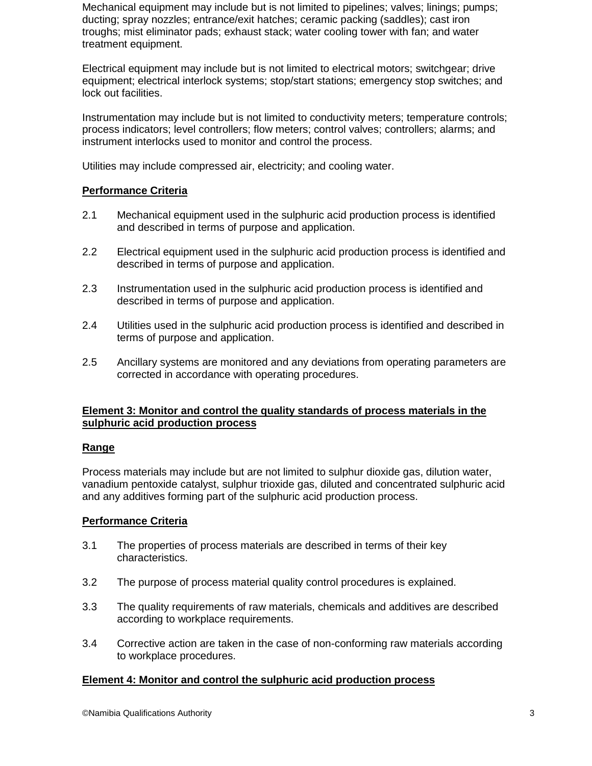Mechanical equipment may include but is not limited to pipelines; valves; linings; pumps; ducting; spray nozzles; entrance/exit hatches; ceramic packing (saddles); cast iron troughs; mist eliminator pads; exhaust stack; water cooling tower with fan; and water treatment equipment.

Electrical equipment may include but is not limited to electrical motors; switchgear; drive equipment; electrical interlock systems; stop/start stations; emergency stop switches; and lock out facilities.

Instrumentation may include but is not limited to conductivity meters; temperature controls; process indicators; level controllers; flow meters; control valves; controllers; alarms; and instrument interlocks used to monitor and control the process.

Utilities may include compressed air, electricity; and cooling water.

## **Performance Criteria**

- 2.1 Mechanical equipment used in the sulphuric acid production process is identified and described in terms of purpose and application.
- 2.2 Electrical equipment used in the sulphuric acid production process is identified and described in terms of purpose and application.
- 2.3 Instrumentation used in the sulphuric acid production process is identified and described in terms of purpose and application.
- 2.4 Utilities used in the sulphuric acid production process is identified and described in terms of purpose and application.
- 2.5 Ancillary systems are monitored and any deviations from operating parameters are corrected in accordance with operating procedures.

#### **Element 3: Monitor and control the quality standards of process materials in the sulphuric acid production process**

#### **Range**

Process materials may include but are not limited to sulphur dioxide gas, dilution water, vanadium pentoxide catalyst, sulphur trioxide gas, diluted and concentrated sulphuric acid and any additives forming part of the sulphuric acid production process.

## **Performance Criteria**

- 3.1 The properties of process materials are described in terms of their key characteristics.
- 3.2 The purpose of process material quality control procedures is explained.
- 3.3 The quality requirements of raw materials, chemicals and additives are described according to workplace requirements.
- 3.4 Corrective action are taken in the case of non-conforming raw materials according to workplace procedures.

## **Element 4: Monitor and control the sulphuric acid production process**